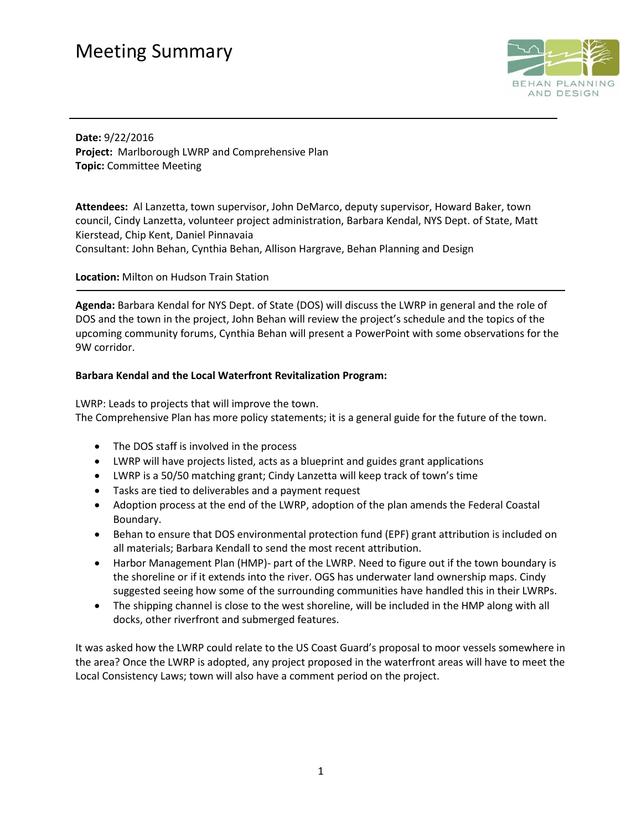## Meeting Summary



**Date:** 9/22/2016 **Project:** Marlborough LWRP and Comprehensive Plan **Topic:** Committee Meeting

**Attendees:** Al Lanzetta, town supervisor, John DeMarco, deputy supervisor, Howard Baker, town council, Cindy Lanzetta, volunteer project administration, Barbara Kendal, NYS Dept. of State, Matt Kierstead, Chip Kent, Daniel Pinnavaia

Consultant: John Behan, Cynthia Behan, Allison Hargrave, Behan Planning and Design

**Location:** Milton on Hudson Train Station

**Agenda:** Barbara Kendal for NYS Dept. of State (DOS) will discuss the LWRP in general and the role of DOS and the town in the project, John Behan will review the project's schedule and the topics of the upcoming community forums, Cynthia Behan will present a PowerPoint with some observations for the 9W corridor.

#### **Barbara Kendal and the Local Waterfront Revitalization Program:**

LWRP: Leads to projects that will improve the town. The Comprehensive Plan has more policy statements; it is a general guide for the future of the town.

- The DOS staff is involved in the process
- LWRP will have projects listed, acts as a blueprint and guides grant applications
- LWRP is a 50/50 matching grant; Cindy Lanzetta will keep track of town's time
- Tasks are tied to deliverables and a payment request
- Adoption process at the end of the LWRP, adoption of the plan amends the Federal Coastal Boundary.
- Behan to ensure that DOS environmental protection fund (EPF) grant attribution is included on all materials; Barbara Kendall to send the most recent attribution.
- Harbor Management Plan (HMP)- part of the LWRP. Need to figure out if the town boundary is the shoreline or if it extends into the river. OGS has underwater land ownership maps. Cindy suggested seeing how some of the surrounding communities have handled this in their LWRPs.
- The shipping channel is close to the west shoreline, will be included in the HMP along with all docks, other riverfront and submerged features.

It was asked how the LWRP could relate to the US Coast Guard's proposal to moor vessels somewhere in the area? Once the LWRP is adopted, any project proposed in the waterfront areas will have to meet the Local Consistency Laws; town will also have a comment period on the project.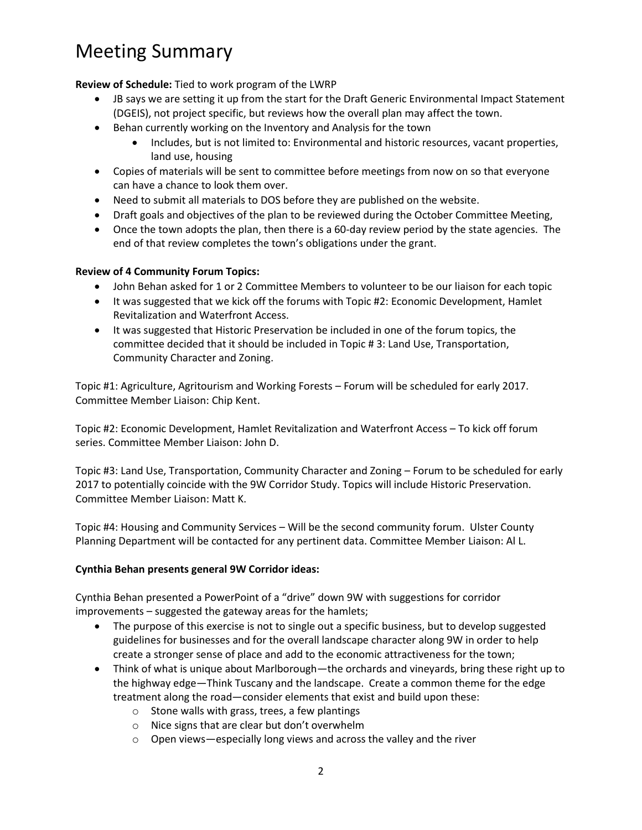# Meeting Summary

**Review of Schedule:** Tied to work program of the LWRP

- JB says we are setting it up from the start for the Draft Generic Environmental Impact Statement (DGEIS), not project specific, but reviews how the overall plan may affect the town.
- Behan currently working on the Inventory and Analysis for the town
	- Includes, but is not limited to: Environmental and historic resources, vacant properties, land use, housing
- Copies of materials will be sent to committee before meetings from now on so that everyone can have a chance to look them over.
- Need to submit all materials to DOS before they are published on the website.
- Draft goals and objectives of the plan to be reviewed during the October Committee Meeting,
- Once the town adopts the plan, then there is a 60-day review period by the state agencies. The end of that review completes the town's obligations under the grant.

### **Review of 4 Community Forum Topics:**

- John Behan asked for 1 or 2 Committee Members to volunteer to be our liaison for each topic
- It was suggested that we kick off the forums with Topic #2: Economic Development, Hamlet Revitalization and Waterfront Access.
- It was suggested that Historic Preservation be included in one of the forum topics, the committee decided that it should be included in Topic # 3: Land Use, Transportation, Community Character and Zoning.

Topic #1: Agriculture, Agritourism and Working Forests – Forum will be scheduled for early 2017. Committee Member Liaison: Chip Kent.

Topic #2: Economic Development, Hamlet Revitalization and Waterfront Access – To kick off forum series. Committee Member Liaison: John D.

Topic #3: Land Use, Transportation, Community Character and Zoning – Forum to be scheduled for early 2017 to potentially coincide with the 9W Corridor Study. Topics will include Historic Preservation. Committee Member Liaison: Matt K.

Topic #4: Housing and Community Services – Will be the second community forum. Ulster County Planning Department will be contacted for any pertinent data. Committee Member Liaison: Al L.

### **Cynthia Behan presents general 9W Corridor ideas:**

Cynthia Behan presented a PowerPoint of a "drive" down 9W with suggestions for corridor improvements – suggested the gateway areas for the hamlets;

- The purpose of this exercise is not to single out a specific business, but to develop suggested guidelines for businesses and for the overall landscape character along 9W in order to help create a stronger sense of place and add to the economic attractiveness for the town;
- Think of what is unique about Marlborough—the orchards and vineyards, bring these right up to the highway edge—Think Tuscany and the landscape. Create a common theme for the edge treatment along the road—consider elements that exist and build upon these:
	- o Stone walls with grass, trees, a few plantings
	- o Nice signs that are clear but don't overwhelm
	- o Open views—especially long views and across the valley and the river